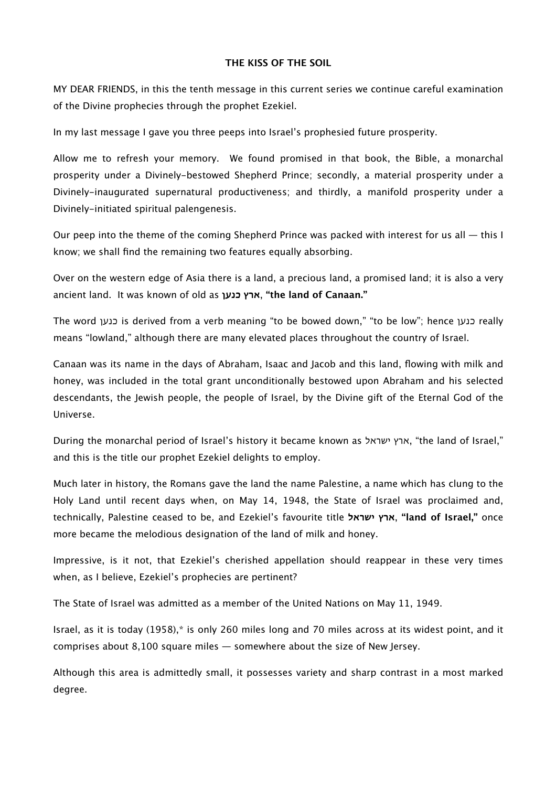#### **THE KISS OF THE SOIL**

MY DEAR FRIENDS, in this the tenth message in this current series we continue careful examination of the Divine prophecies through the prophet Ezekiel.

In my last message I gave you three peeps into Israel's prophesied future prosperity.

Allow me to refresh your memory. We found promised in that book, the Bible, a monarchal prosperity under a Divinely-bestowed Shepherd Prince; secondly, a material prosperity under a Divinely-inaugurated supernatural productiveness; and thirdly, a manifold prosperity under a Divinely-initiated spiritual palengenesis.

Our peep into the theme of the coming Shepherd Prince was packed with interest for us all — this I know; we shall find the remaining two features equally absorbing.

Over on the western edge of Asia there is a land, a precious land, a promised land; it is also a very ancient land. It was known of old as **כנען ארץ**,**" the land of Canaan."**

The word כנען is derived from a verb meaning "to be bowed down," "to be low"; hence כנען really means "lowland," although there are many elevated places throughout the country of Israel.

Canaan was its name in the days of Abraham, Isaac and Jacob and this land, flowing with milk and honey, was included in the total grant unconditionally bestowed upon Abraham and his selected descendants, the Jewish people, the people of Israel, by the Divine gift of the Eternal God of the Universe.

During the monarchal period of Israel's history it became known as ישראל ארץ," the land of Israel," and this is the title our prophet Ezekiel delights to employ.

Much later in history, the Romans gave the land the name Palestine, a name which has clung to the Holy Land until recent days when, on May 14, 1948, the State of Israel was proclaimed and, technically, Palestine ceased to be, and Ezekiel's favourite title **ישראל ארץ**,**" land of Israel,"** once more became the melodious designation of the land of milk and honey.

Impressive, is it not, that Ezekiel's cherished appellation should reappear in these very times when, as I believe, Ezekiel's prophecies are pertinent?

The State of Israel was admitted as a member of the United Nations on May 11, 1949.

Israel, as it is today (1958),\* is only 260 miles long and 70 miles across at its widest point, and it comprises about 8,100 square miles ― somewhere about the size of New Jersey.

Although this area is admittedly small, it possesses variety and sharp contrast in a most marked degree.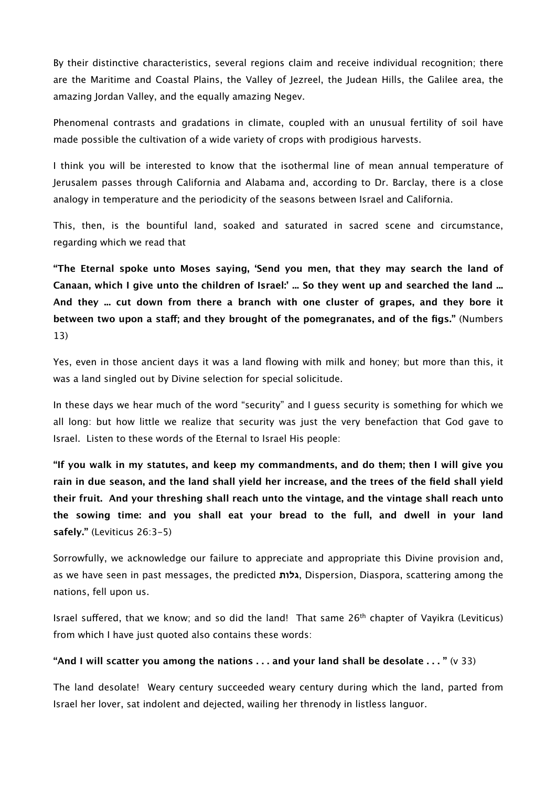By their distinctive characteristics, several regions claim and receive individual recognition; there are the Maritime and Coastal Plains, the Valley of Jezreel, the Judean Hills, the Galilee area, the amazing Jordan Valley, and the equally amazing Negev.

Phenomenal contrasts and gradations in climate, coupled with an unusual fertility of soil have made possible the cultivation of a wide variety of crops with prodigious harvests.

I think you will be interested to know that the isothermal line of mean annual temperature of Jerusalem passes through California and Alabama and, according to Dr. Barclay, there is a close analogy in temperature and the periodicity of the seasons between Israel and California.

This, then, is the bountiful land, soaked and saturated in sacred scene and circumstance, regarding which we read that

**"The Eternal spoke unto Moses saying, 'Send you men, that they may search the land of Canaan, which I give unto the children of Israel:' ... So they went up and searched the land ... And they ... cut down from there a branch with one cluster of grapes, and they bore it between two upon a staf; and they brought of the pomegranates, and of the figs."** (Numbers 13)

Yes, even in those ancient days it was a land flowing with milk and honey; but more than this, it was a land singled out by Divine selection for special solicitude.

In these days we hear much of the word "security" and I guess security is something for which we all long: but how little we realize that security was just the very benefaction that God gave to Israel. Listen to these words of the Eternal to Israel His people:

**"If you walk in my statutes, and keep my commandments, and do them; then I will give you rain in due season, and the land shall yield her increase, and the trees of the field shall yield their fruit. And your threshing shall reach unto the vintage, and the vintage shall reach unto the sowing time: and you shall eat your bread to the full, and dwell in your land safely."** (Leviticus 26:3-5)

Sorrowfully, we acknowledge our failure to appreciate and appropriate this Divine provision and, as we have seen in past messages, the predicted **גלות**, Dispersion, Diaspora, scattering among the nations, fell upon us.

Israel suffered, that we know; and so did the land! That same 26<sup>th</sup> chapter of Vayikra (Leviticus) from which I have just quoted also contains these words:

#### **"And I will scatter you among the nations . . . and your land shall be desolate . . . "** (v 33)

The land desolate! Weary century succeeded weary century during which the land, parted from Israel her lover, sat indolent and dejected, wailing her threnody in listless languor.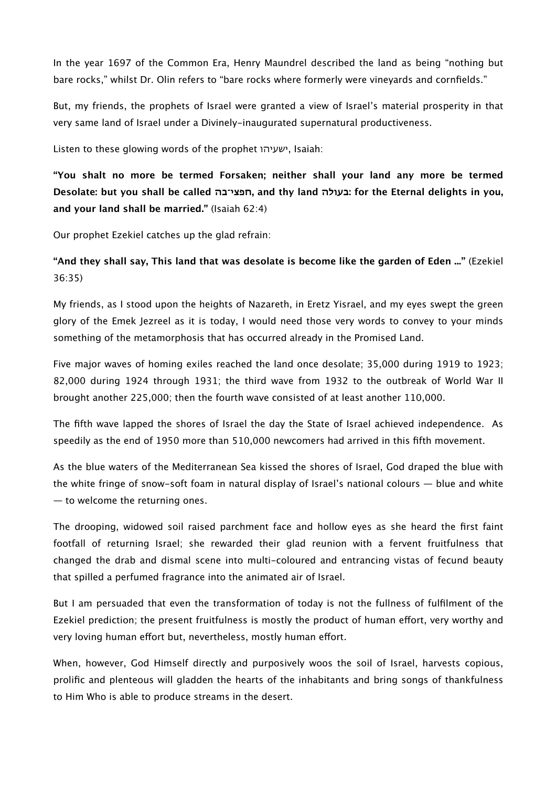In the year 1697 of the Common Era, Henry Maundrel described the land as being "nothing but bare rocks," whilst Dr. Olin refers to "bare rocks where formerly were vineyards and cornfields."

But, my friends, the prophets of Israel were granted a view of Israel's material prosperity in that very same land of Israel under a Divinely-inaugurated supernatural productiveness.

Listen to these glowing words of the prophet ישעיהו, Isaiah:

**"You shalt no more be termed Forsaken; neither shall your land any more be termed Desolate: but you shall be called חפצי־בה, and thy land בעולה: for the Eternal delights in you, and your land shall be married."** (Isaiah 62:4)

Our prophet Ezekiel catches up the glad refrain:

# **"And they shall say, This land that was desolate is become like the garden of Eden ..."** (Ezekiel 36:35)

My friends, as I stood upon the heights of Nazareth, in Eretz Yisrael, and my eyes swept the green glory of the Emek Jezreel as it is today, I would need those very words to convey to your minds something of the metamorphosis that has occurred already in the Promised Land.

Five major waves of homing exiles reached the land once desolate; 35,000 during 1919 to 1923; 82,000 during 1924 through 1931; the third wave from 1932 to the outbreak of World War II brought another 225,000; then the fourth wave consisted of at least another 110,000.

The fifth wave lapped the shores of Israel the day the State of Israel achieved independence. As speedily as the end of 1950 more than 510,000 newcomers had arrived in this fifth movement.

As the blue waters of the Mediterranean Sea kissed the shores of Israel, God draped the blue with the white fringe of snow-soft foam in natural display of Israel's national colours ― blue and white ― to welcome the returning ones.

The drooping, widowed soil raised parchment face and hollow eyes as she heard the first faint footfall of returning Israel; she rewarded their glad reunion with a fervent fruitfulness that changed the drab and dismal scene into multi-coloured and entrancing vistas of fecund beauty that spilled a perfumed fragrance into the animated air of Israel.

But I am persuaded that even the transformation of today is not the fullness of fulfilment of the Ezekiel prediction; the present fruitfulness is mostly the product of human effort, very worthy and very loving human effort but, nevertheless, mostly human effort.

When, however, God Himself directly and purposively woos the soil of Israel, harvests copious, prolific and plenteous will gladden the hearts of the inhabitants and bring songs of thankfulness to Him Who is able to produce streams in the desert.